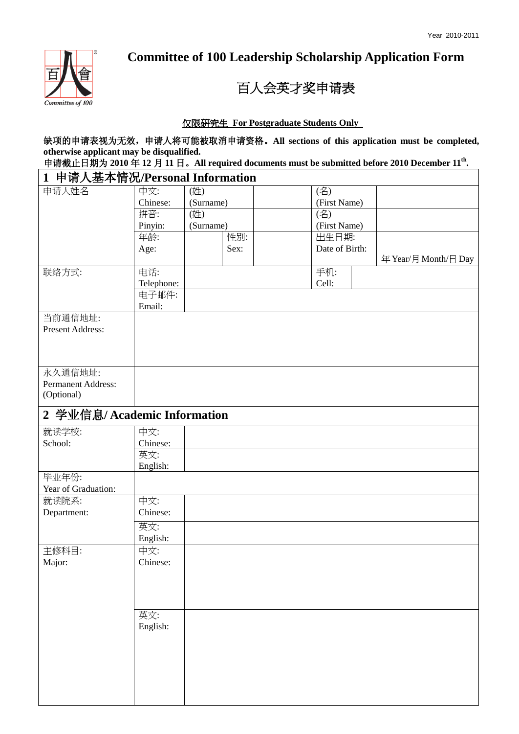# Committee of 100

**Committee of 100 Leadership Scholarship Application Form**

### 百人会英才奖申请表

#### 仅限研究生 **For Postgraduate Students Only**

缺项的申请表视为无效,申请人将可能被取消申请资格。**All sections of this application must be completed, otherwise applicant may be disqualified.**

申请截止日期为 **2010** 年 **12** 月 **11** 日。**All required documents must be submitted before 2010 December 11th .** 

| 1 申请人基本情况/Personal Information |            |           |      |              |                |                      |
|--------------------------------|------------|-----------|------|--------------|----------------|----------------------|
| 申请人姓名                          | 中文:        | (姓)       |      | (名)          |                |                      |
|                                | Chinese:   | (Surname) |      | (First Name) |                |                      |
|                                | 拼音:        | (姓)       |      | (名)          |                |                      |
|                                | Pinyin:    | (Surname) |      | (First Name) |                |                      |
|                                | 年龄:        |           | 性別:  | 出生日期:        |                |                      |
|                                | Age:       |           | Sex: |              | Date of Birth: |                      |
|                                |            |           |      |              |                | 年 Year/月 Month/日 Day |
| 联络方式:                          | 电话:        |           |      | 手机:          |                |                      |
|                                | Telephone: |           |      | Cell:        |                |                      |
|                                | 电子邮件:      |           |      |              |                |                      |
|                                | Email:     |           |      |              |                |                      |
| 当前通信地址:                        |            |           |      |              |                |                      |
| Present Address:               |            |           |      |              |                |                      |
|                                |            |           |      |              |                |                      |
|                                |            |           |      |              |                |                      |
|                                |            |           |      |              |                |                      |
| 永久通信地址:                        |            |           |      |              |                |                      |
| Permanent Address:             |            |           |      |              |                |                      |
| (Optional)                     |            |           |      |              |                |                      |
| 2 学业信息/ Academic Information   |            |           |      |              |                |                      |
| 就读学校:                          | 中文:        |           |      |              |                |                      |
| School:                        | Chinese:   |           |      |              |                |                      |
|                                | 英文:        |           |      |              |                |                      |
|                                | English:   |           |      |              |                |                      |
| 毕业年份:                          |            |           |      |              |                |                      |
| Year of Graduation:            |            |           |      |              |                |                      |
| 就读院系:                          | 中文:        |           |      |              |                |                      |
| Department:                    | Chinese:   |           |      |              |                |                      |
|                                | 英文:        |           |      |              |                |                      |
|                                | English:   |           |      |              |                |                      |
| 主修科目:                          | 中文:        |           |      |              |                |                      |
| Major:                         | Chinese:   |           |      |              |                |                      |
|                                |            |           |      |              |                |                      |
|                                |            |           |      |              |                |                      |
|                                |            |           |      |              |                |                      |
|                                |            |           |      |              |                |                      |
|                                | 英文:        |           |      |              |                |                      |
|                                | English:   |           |      |              |                |                      |
|                                |            |           |      |              |                |                      |
|                                |            |           |      |              |                |                      |
|                                |            |           |      |              |                |                      |
|                                |            |           |      |              |                |                      |
|                                |            |           |      |              |                |                      |
|                                |            |           |      |              |                |                      |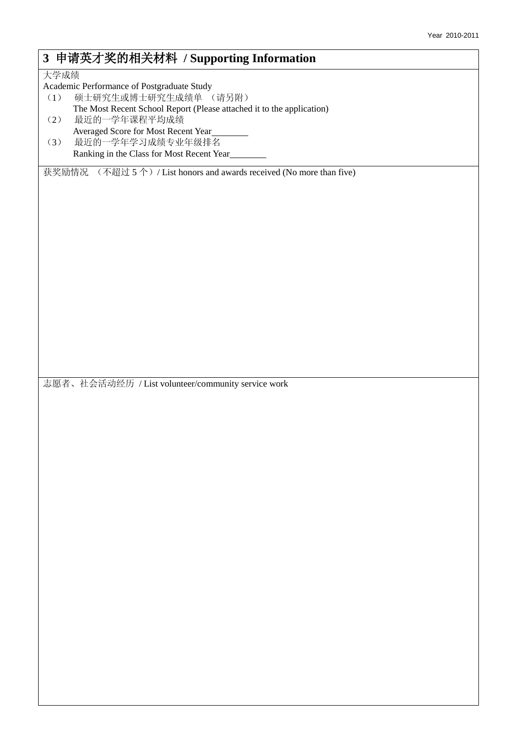## **3** 申请英才奖的相关材料 **/ Supporting Information**  大学成绩 Academic Performance of Postgraduate Study (1) 硕士研究生或博士研究生成绩单 (请另附) The Most Recent School Report (Please attached it to the application) (2) 最近的一学年课程平均成绩 Averaged Score for Most Recent Year (3) 最近的一学年学习成绩专业年级排名 Ranking in the Class for Most Recent Year 获奖励情况 (不超过 5 个) / List honors and awards received (No more than five) 志愿者、社会活动经历 / List volunteer/community service work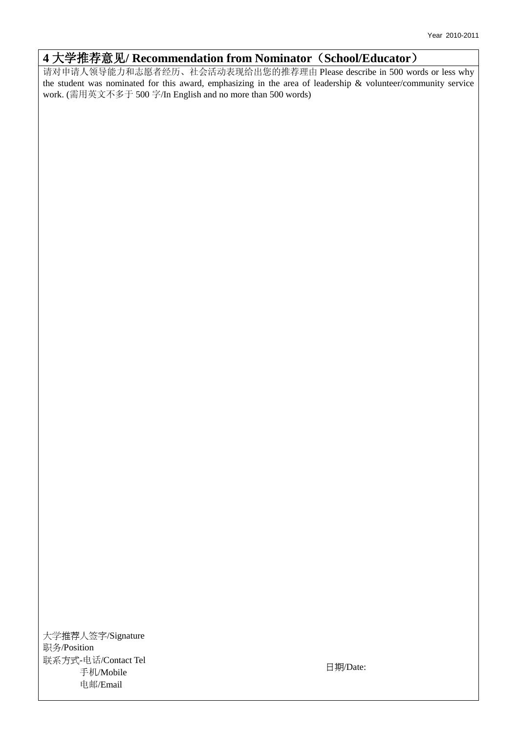### **4** 大学推荐意见**/ Recommendation from Nominator**(**School/Educator**)

请对申请人领导能力和志愿者经历、社会活动表现给出您的推荐理由 Please describe in 500 words or less why the student was nominated for this award, emphasizing in the area of leadership & volunteer/community service work. (需用英文不多于 500 字/In English and no more than 500 words)

大学推荐人签字/Signature 职务/Position 联系方式-电话/Contact Tel 手机/Mobile 电邮/Email

日期/Date: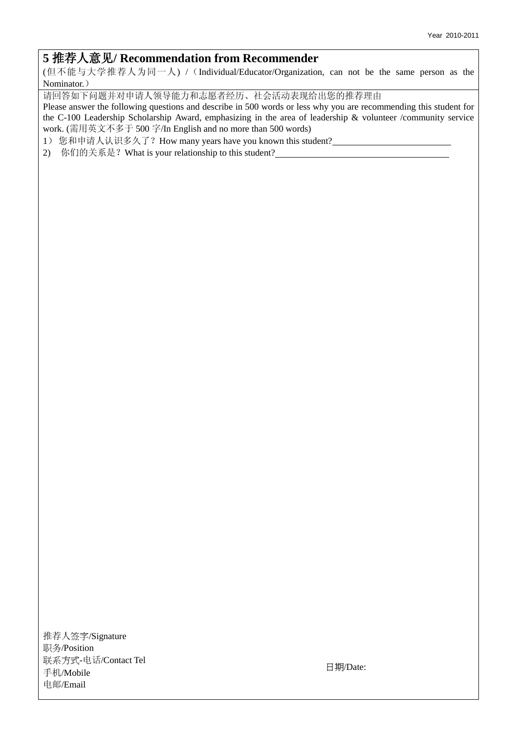### **5** 推荐人意见**/ Recommendation from Recommender**

(但不能与大学推荐人为同一人) / (Individual/Educator/Organization, can not be the same person as the Nominator.)

请回答如下问题并对申请人领导能力和志愿者经历、社会活动表现给出您的推荐理由

Please answer the following questions and describe in 500 words or less why you are recommending this student for the C-100 Leadership Scholarship Award, emphasizing in the area of leadership & volunteer /community service work. (需用英文不多于 500 字/In English and no more than 500 words)

1) 您和申请人认识多久了? How many years have you known this student? \_\_\_\_\_\_\_\_\_\_\_\_\_\_\_\_\_\_\_\_\_

2) 你们的关系是?What is your relationship to this student?

推荐人签字/Signature 职务/Position 联系方式-电话/Contact Tel 手机/Mobile 电邮/Email

日期/Date: